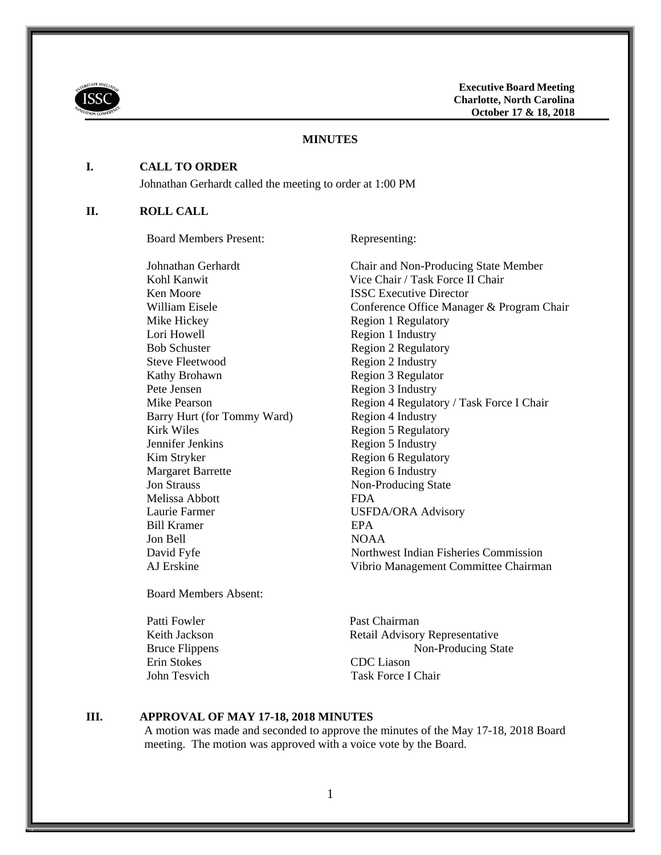

### **MINUTES**

### **I. CALL TO ORDER**

Johnathan Gerhardt called the meeting to order at 1:00 PM

#### **II. ROLL CALL**

Board Members Present: Representing:

**Ken Moore ISSC Executive Director** Mike Hickey Region 1 Regulatory Lori Howell Region 1 Industry Bob Schuster Region 2 Regulatory Steve Fleetwood Region 2 Industry Kathy Brohawn Region 3 Regulator Pete Jensen Region 3 Industry Barry Hurt (for Tommy Ward) Region 4 Industry Kirk Wiles Region 5 Regulatory Jennifer Jenkins Region 5 Industry Kim Stryker Region 6 Regulatory<br>
Margaret Barrette Region 6 Industry **Jon Strauss Non-Producing State** Melissa Abbott FDA Laurie Farmer USFDA/ORA Advisory Bill Kramer **EPA** Jon Bell NOAA

Johnathan Gerhardt Chair and Non-Producing State Member Kohl Kanwit Vice Chair / Task Force II Chair William Eisele **Conference Office Manager & Program Chair** Mike Pearson Region 4 Regulatory / Task Force I Chair Region 6 Industry David Fyfe Northwest Indian Fisheries Commission AJ Erskine Vibrio Management Committee Chairman

Board Members Absent:

Erin Stokes CDC Liason

Patti Fowler Past Chairman Keith Jackson Retail Advisory Representative Bruce Flippens Non-Producing State John Tesvich Task Force I Chair

#### **III. APPROVAL OF MAY 17-18, 2018 MINUTES**

A motion was made and seconded to approve the minutes of the May 17-18, 2018 Board meeting. The motion was approved with a voice vote by the Board.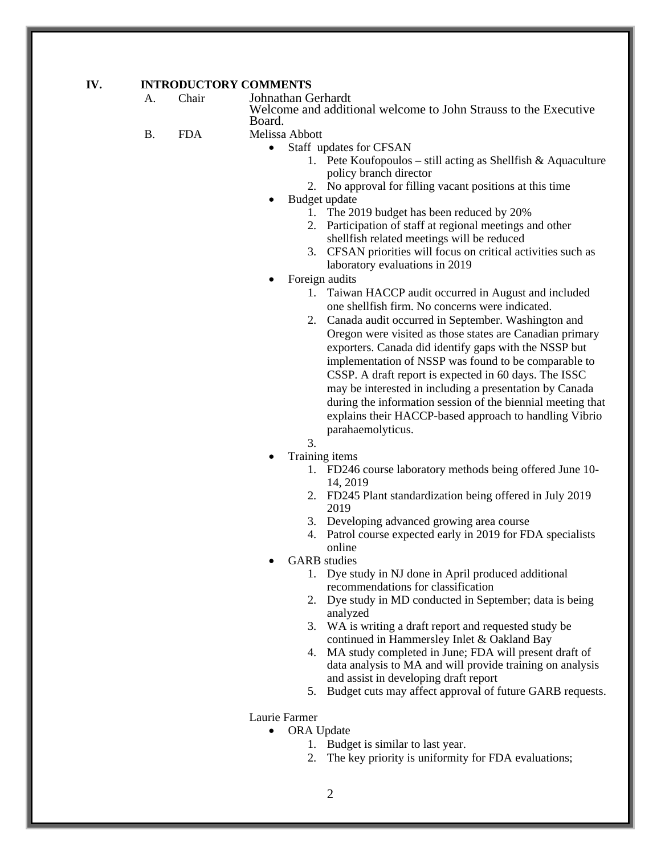### **IV. INTRODUCTORY COMMENTS**

- A. Chair Johnathan Gerhardt Welcome and additional welcome to John Strauss to the Executive Board.
- B. FDA Melissa Abbott
	- Staff updates for CFSAN
		- 1. Pete Koufopoulos still acting as Shellfish & Aquaculture policy branch director
		- 2. No approval for filling vacant positions at this time
		- Budget update
			- 1. The 2019 budget has been reduced by 20%
			- 2. Participation of staff at regional meetings and other shellfish related meetings will be reduced
			- 3. CFSAN priorities will focus on critical activities such as laboratory evaluations in 2019
	- Foreign audits
		- 1. Taiwan HACCP audit occurred in August and included one shellfish firm. No concerns were indicated.
		- 2. Canada audit occurred in September. Washington and Oregon were visited as those states are Canadian primary exporters. Canada did identify gaps with the NSSP but implementation of NSSP was found to be comparable to CSSP. A draft report is expected in 60 days. The ISSC may be interested in including a presentation by Canada during the information session of the biennial meeting that explains their HACCP-based approach to handling Vibrio parahaemolyticus.
		- 3.
	- Training items
		- 1. FD246 course laboratory methods being offered June 10- 14, 2019
		- 2. FD245 Plant standardization being offered in July 2019 2019
		- 3. Developing advanced growing area course
		- 4. Patrol course expected early in 2019 for FDA specialists online
	- GARB studies
		- 1. Dye study in NJ done in April produced additional recommendations for classification
		- 2. Dye study in MD conducted in September; data is being analyzed
		- 3. WA is writing a draft report and requested study be continued in Hammersley Inlet & Oakland Bay
		- 4. MA study completed in June; FDA will present draft of data analysis to MA and will provide training on analysis and assist in developing draft report
		- 5. Budget cuts may affect approval of future GARB requests.

Laurie Farmer

- ORA Update
	- 1. Budget is similar to last year.
	- 2. The key priority is uniformity for FDA evaluations;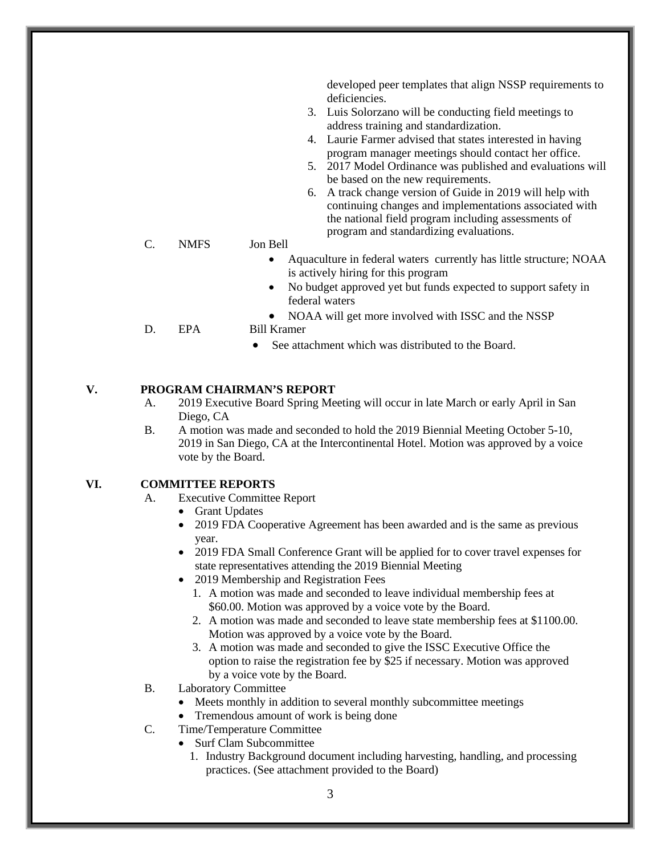developed peer templates that align NSSP requirements to deficiencies.

- 3. Luis Solorzano will be conducting field meetings to address training and standardization.
- 4. Laurie Farmer advised that states interested in having program manager meetings should contact her office.
- 5. 2017 Model Ordinance was published and evaluations will be based on the new requirements.
- 6. A track change version of Guide in 2019 will help with continuing changes and implementations associated with the national field program including assessments of program and standardizing evaluations.

## C. NMFS Jon Bell

- Aquaculture in federal waters currently has little structure; NOAA is actively hiring for this program
- No budget approved yet but funds expected to support safety in federal waters
- NOAA will get more involved with ISSC and the NSSP
- D. EPA Bill Kramer
	- See attachment which was distributed to the Board.

# **V. PROGRAM CHAIRMAN'S REPORT**

- A. 2019 Executive Board Spring Meeting will occur in late March or early April in San Diego, CA
- B. A motion was made and seconded to hold the 2019 Biennial Meeting October 5-10, 2019 in San Diego, CA at the Intercontinental Hotel. Motion was approved by a voice vote by the Board.

## **VI. COMMITTEE REPORTS**

- A. Executive Committee Report
	- Grant Updates
	- 2019 FDA Cooperative Agreement has been awarded and is the same as previous year.
	- 2019 FDA Small Conference Grant will be applied for to cover travel expenses for state representatives attending the 2019 Biennial Meeting
	- 2019 Membership and Registration Fees
		- 1. A motion was made and seconded to leave individual membership fees at \$60.00. Motion was approved by a voice vote by the Board.
		- 2. A motion was made and seconded to leave state membership fees at \$1100.00. Motion was approved by a voice vote by the Board.
		- 3. A motion was made and seconded to give the ISSC Executive Office the option to raise the registration fee by \$25 if necessary. Motion was approved by a voice vote by the Board.
- B. Laboratory Committee
	- Meets monthly in addition to several monthly subcommittee meetings
	- Tremendous amount of work is being done
- C. Time/Temperature Committee
	- Surf Clam Subcommittee
		- 1. Industry Background document including harvesting, handling, and processing practices. (See attachment provided to the Board)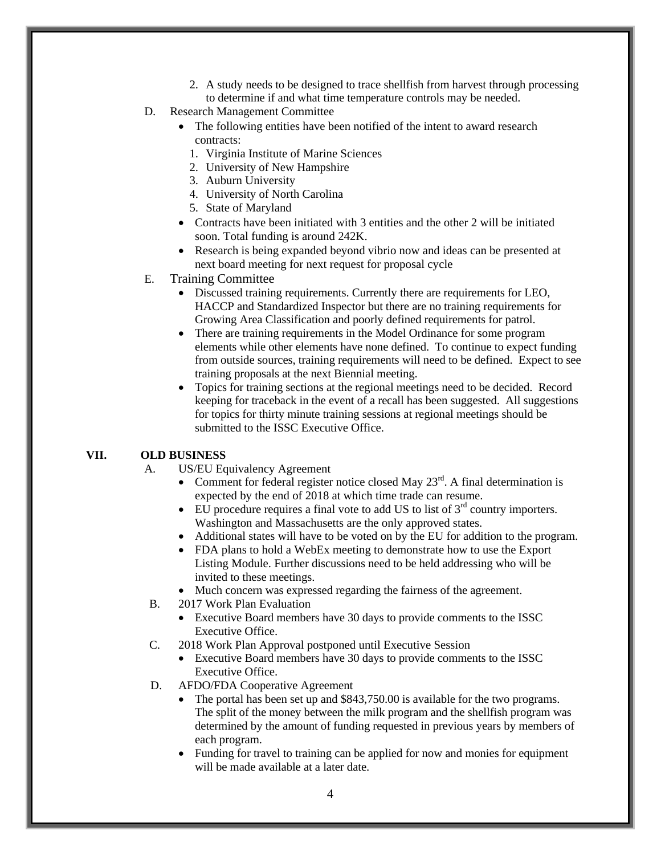- 2. A study needs to be designed to trace shellfish from harvest through processing to determine if and what time temperature controls may be needed.
- D. Research Management Committee
	- The following entities have been notified of the intent to award research contracts:
		- 1. Virginia Institute of Marine Sciences
		- 2. University of New Hampshire
		- 3. Auburn University
		- 4. University of North Carolina
		- 5. State of Maryland
	- Contracts have been initiated with 3 entities and the other 2 will be initiated soon. Total funding is around 242K.
	- Research is being expanded beyond vibrio now and ideas can be presented at next board meeting for next request for proposal cycle
- E. Training Committee
	- Discussed training requirements. Currently there are requirements for LEO, HACCP and Standardized Inspector but there are no training requirements for Growing Area Classification and poorly defined requirements for patrol.
	- There are training requirements in the Model Ordinance for some program elements while other elements have none defined. To continue to expect funding from outside sources, training requirements will need to be defined. Expect to see training proposals at the next Biennial meeting.
	- Topics for training sections at the regional meetings need to be decided. Record keeping for traceback in the event of a recall has been suggested. All suggestions for topics for thirty minute training sessions at regional meetings should be submitted to the ISSC Executive Office.

### **VII. OLD BUSINESS**

- A. US/EU Equivalency Agreement
	- Comment for federal register notice closed May  $23<sup>rd</sup>$ . A final determination is expected by the end of 2018 at which time trade can resume.
	- EU procedure requires a final vote to add US to list of  $3<sup>rd</sup>$  country importers. Washington and Massachusetts are the only approved states.
	- Additional states will have to be voted on by the EU for addition to the program.
	- FDA plans to hold a WebEx meeting to demonstrate how to use the Export Listing Module. Further discussions need to be held addressing who will be invited to these meetings.
	- Much concern was expressed regarding the fairness of the agreement.
- B. 2017 Work Plan Evaluation
	- Executive Board members have 30 days to provide comments to the ISSC Executive Office.
- C. 2018 Work Plan Approval postponed until Executive Session
	- Executive Board members have 30 days to provide comments to the ISSC Executive Office.
- D. AFDO/FDA Cooperative Agreement
	- The portal has been set up and \$843,750.00 is available for the two programs. The split of the money between the milk program and the shellfish program was determined by the amount of funding requested in previous years by members of each program.
	- Funding for travel to training can be applied for now and monies for equipment will be made available at a later date.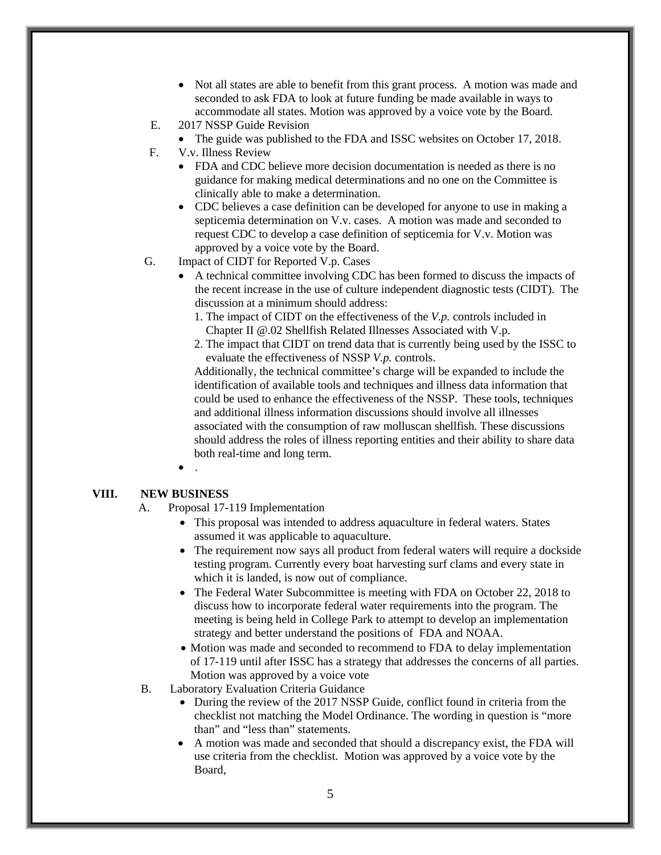- Not all states are able to benefit from this grant process. A motion was made and seconded to ask FDA to look at future funding be made available in ways to accommodate all states. Motion was approved by a voice vote by the Board.
- E. 2017 NSSP Guide Revision
	- The guide was published to the FDA and ISSC websites on October 17, 2018.
- F. V.v. Illness Review
	- FDA and CDC believe more decision documentation is needed as there is no guidance for making medical determinations and no one on the Committee is clinically able to make a determination.
	- CDC believes a case definition can be developed for anyone to use in making a septicemia determination on V.v. cases. A motion was made and seconded to request CDC to develop a case definition of septicemia for V.v. Motion was approved by a voice vote by the Board.
- G. Impact of CIDT for Reported V.p. Cases
	- A technical committee involving CDC has been formed to discuss the impacts of the recent increase in the use of culture independent diagnostic tests (CIDT). The discussion at a minimum should address:
		- 1. The impact of CIDT on the effectiveness of the *V.p.* controls included in Chapter II @.02 Shellfish Related Illnesses Associated with V.p.
		- 2. The impact that CIDT on trend data that is currently being used by the ISSC to evaluate the effectiveness of NSSP *V.p.* controls.

Additionally, the technical committee's charge will be expanded to include the identification of available tools and techniques and illness data information that could be used to enhance the effectiveness of the NSSP. These tools, techniques and additional illness information discussions should involve all illnesses associated with the consumption of raw molluscan shellfish. These discussions should address the roles of illness reporting entities and their ability to share data both real-time and long term.

 $\bullet$ 

### **VIII. NEW BUSINESS**

- A. Proposal 17-119 Implementation
	- This proposal was intended to address aquaculture in federal waters. States assumed it was applicable to aquaculture.
	- The requirement now says all product from federal waters will require a dockside testing program. Currently every boat harvesting surf clams and every state in which it is landed, is now out of compliance.
	- The Federal Water Subcommittee is meeting with FDA on October 22, 2018 to discuss how to incorporate federal water requirements into the program. The meeting is being held in College Park to attempt to develop an implementation strategy and better understand the positions of FDA and NOAA.
	- Motion was made and seconded to recommend to FDA to delay implementation of 17-119 until after ISSC has a strategy that addresses the concerns of all parties. Motion was approved by a voice vote
- B. Laboratory Evaluation Criteria Guidance
	- During the review of the 2017 NSSP Guide, conflict found in criteria from the checklist not matching the Model Ordinance. The wording in question is "more than" and "less than" statements.
	- A motion was made and seconded that should a discrepancy exist, the FDA will use criteria from the checklist. Motion was approved by a voice vote by the Board,